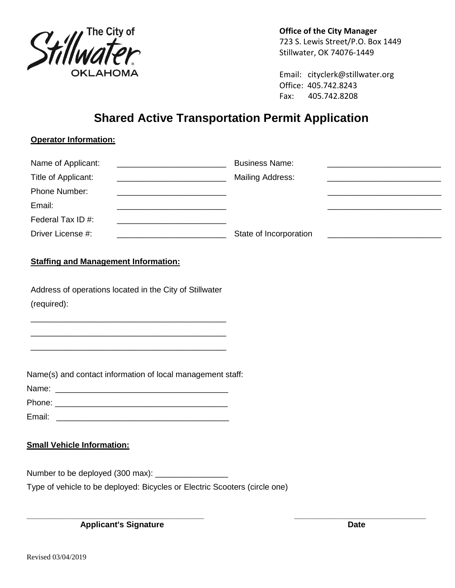

**Office of the City Manager** 723 S. Lewis Street/P.O. Box 1449 Stillwater, OK 74076-1449

Email: cityclerk@stillwater.org Office: 405.742.8243 Fax: 405.742.8208

# **Shared Active Transportation Permit Application**

## **Operator Information:**

| Name of Applicant:  | <b>Business Name:</b>   |  |
|---------------------|-------------------------|--|
| Title of Applicant: | <b>Mailing Address:</b> |  |
| Phone Number:       |                         |  |
| Email:              |                         |  |
| Federal Tax ID #:   |                         |  |
| Driver License #:   | State of Incorporation  |  |

#### **Staffing and Management Information:**

Address of operations located in the City of Stillwater (required):

\_\_\_\_\_\_\_\_\_\_\_\_\_\_\_\_\_\_\_\_\_\_\_\_\_\_\_\_\_\_\_\_\_\_\_\_\_\_\_\_\_\_\_ \_\_\_\_\_\_\_\_\_\_\_\_\_\_\_\_\_\_\_\_\_\_\_\_\_\_\_\_\_\_\_\_\_\_\_\_\_\_\_\_\_\_\_ \_\_\_\_\_\_\_\_\_\_\_\_\_\_\_\_\_\_\_\_\_\_\_\_\_\_\_\_\_\_\_\_\_\_\_\_\_\_\_\_\_\_\_

Name(s) and contact information of local management staff:

| Name:  |  |  |  |
|--------|--|--|--|
| Phone: |  |  |  |

| Email: |  |  |  |
|--------|--|--|--|
|        |  |  |  |

## **Small Vehicle Information:**

Number to be deployed (300 max): \_\_\_\_\_\_\_\_\_\_\_\_\_\_\_\_

Type of vehicle to be deployed: Bicycles or Electric Scooters (circle one)

**\_\_\_\_\_\_\_\_\_\_\_\_\_\_\_\_\_\_\_\_\_\_\_\_\_\_\_\_\_\_\_\_\_\_\_\_\_\_\_ \_\_\_\_\_\_\_\_\_\_\_\_\_\_\_\_\_\_\_\_\_\_\_\_\_\_\_\_\_** Applicant's Signature **Date**